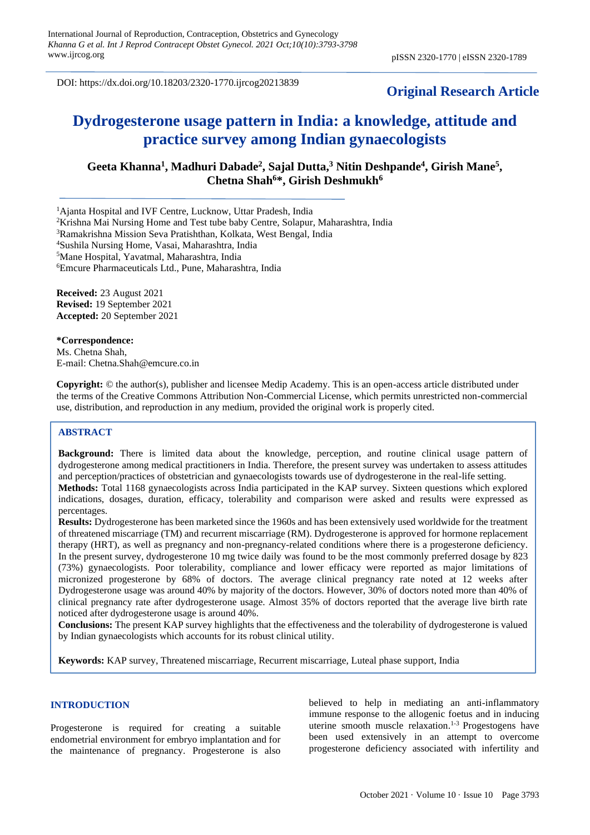DOI: https://dx.doi.org/10.18203/2320-1770.ijrcog20213839

# **Original Research Article**

# **Dydrogesterone usage pattern in India: a knowledge, attitude and practice survey among Indian gynaecologists**

Geeta Khanna<sup>1</sup>, Madhuri Dabade<sup>2</sup>, Sajal Dutta,<sup>3</sup> Nitin Deshpande<sup>4</sup>, Girish Mane<sup>5</sup>, **Chetna Shah<sup>6</sup>\*, Girish Deshmukh<sup>6</sup>**

<sup>1</sup>Ajanta Hospital and IVF Centre, Lucknow, Uttar Pradesh, India

<sup>2</sup>Krishna Mai Nursing Home and Test tube baby Centre, Solapur, Maharashtra, India

<sup>3</sup>Ramakrishna Mission Seva Pratishthan, Kolkata, West Bengal, India

<sup>4</sup>Sushila Nursing Home, Vasai, Maharashtra, India

<sup>5</sup>Mane Hospital, Yavatmal, Maharashtra, India

<sup>6</sup>Emcure Pharmaceuticals Ltd., Pune, Maharashtra, India

**Received:** 23 August 2021 **Revised:** 19 September 2021 **Accepted:** 20 September 2021

#### **\*Correspondence:**

Ms. Chetna Shah, E-mail: Chetna.Shah@emcure.co.in

**Copyright:** © the author(s), publisher and licensee Medip Academy. This is an open-access article distributed under the terms of the Creative Commons Attribution Non-Commercial License, which permits unrestricted non-commercial use, distribution, and reproduction in any medium, provided the original work is properly cited.

# **ABSTRACT**

**Background:** There is limited data about the knowledge, perception, and routine clinical usage pattern of dydrogesterone among medical practitioners in India. Therefore, the present survey was undertaken to assess attitudes and perception/practices of obstetrician and gynaecologists towards use of dydrogesterone in the real-life setting. **Methods:** Total 1168 gynaecologists across India participated in the KAP survey. Sixteen questions which explored indications, dosages, duration, efficacy, tolerability and comparison were asked and results were expressed as percentages.

**Results:** Dydrogesterone has been marketed since the 1960s and has been extensively used worldwide for the treatment of threatened miscarriage (TM) and recurrent miscarriage (RM). Dydrogesterone is approved for hormone replacement therapy (HRT), as well as pregnancy and non-pregnancy-related conditions where there is a progesterone deficiency. In the present survey, dydrogesterone 10 mg twice daily was found to be the most commonly preferred dosage by 823 (73%) gynaecologists. Poor tolerability, compliance and lower efficacy were reported as major limitations of micronized progesterone by 68% of doctors. The average clinical pregnancy rate noted at 12 weeks after Dydrogesterone usage was around 40% by majority of the doctors. However, 30% of doctors noted more than 40% of clinical pregnancy rate after dydrogesterone usage. Almost 35% of doctors reported that the average live birth rate noticed after dydrogesterone usage is around 40%.

**Conclusions:** The present KAP survey highlights that the effectiveness and the tolerability of dydrogesterone is valued by Indian gynaecologists which accounts for its robust clinical utility.

**Keywords:** KAP survey, Threatened miscarriage, Recurrent miscarriage, Luteal phase support, India

#### **INTRODUCTION**

Progesterone is required for creating a suitable endometrial environment for embryo implantation and for the maintenance of pregnancy. Progesterone is also believed to help in mediating an anti-inflammatory immune response to the allogenic foetus and in inducing uterine smooth muscle relaxation. 1-3 Progestogens have been used extensively in an attempt to overcome progesterone deficiency associated with infertility and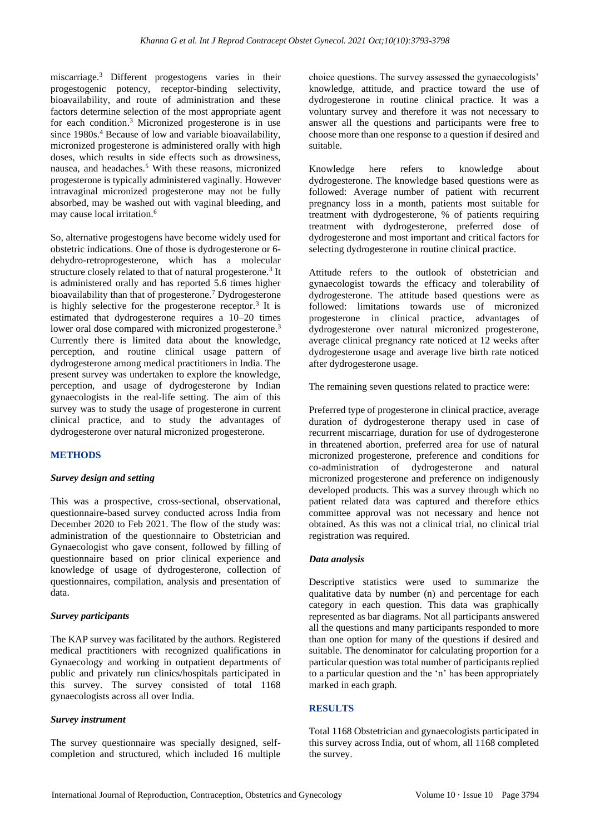miscarriage.<sup>3</sup> Different progestogens varies in their progestogenic potency, receptor-binding selectivity, bioavailability, and route of administration and these factors determine selection of the most appropriate agent for each condition. <sup>3</sup> Micronized progesterone is in use since 1980s.<sup>4</sup> Because of low and variable bioavailability, micronized progesterone is administered orally with high doses, which results in side effects such as drowsiness, nausea, and headaches.<sup>5</sup> With these reasons, micronized progesterone is typically administered vaginally. However intravaginal micronized progesterone may not be fully absorbed, may be washed out with vaginal bleeding, and may cause local irritation.<sup>6</sup>

So, alternative progestogens have become widely used for obstetric indications. One of those is dydrogesterone or 6 dehydro-retroprogesterone, which has a molecular structure closely related to that of natural progesterone.<sup>3</sup> It is administered orally and has reported 5.6 times higher bioavailability than that of progesterone.<sup>7</sup> Dydrogesterone is highly selective for the progesterone receptor.<sup>3</sup> It is estimated that dydrogesterone requires a 10–20 times lower oral dose compared with micronized progesterone.<sup>3</sup> Currently there is limited data about the knowledge, perception, and routine clinical usage pattern of dydrogesterone among medical practitioners in India. The present survey was undertaken to explore the knowledge, perception, and usage of dydrogesterone by Indian gynaecologists in the real-life setting. The aim of this survey was to study the usage of progesterone in current clinical practice, and to study the advantages of dydrogesterone over natural micronized progesterone.

# **METHODS**

#### *Survey design and setting*

This was a prospective, cross-sectional, observational, questionnaire-based survey conducted across India from December 2020 to Feb 2021. The flow of the study was: administration of the questionnaire to Obstetrician and Gynaecologist who gave consent, followed by filling of questionnaire based on prior clinical experience and knowledge of usage of dydrogesterone, collection of questionnaires, compilation, analysis and presentation of data.

#### *Survey participants*

The KAP survey was facilitated by the authors. Registered medical practitioners with recognized qualifications in Gynaecology and working in outpatient departments of public and privately run clinics/hospitals participated in this survey. The survey consisted of total 1168 gynaecologists across all over India.

#### *Survey instrument*

The survey questionnaire was specially designed, selfcompletion and structured, which included 16 multiple choice questions. The survey assessed the gynaecologists' knowledge, attitude, and practice toward the use of dydrogesterone in routine clinical practice. It was a voluntary survey and therefore it was not necessary to answer all the questions and participants were free to choose more than one response to a question if desired and suitable.

Knowledge here refers to knowledge about dydrogesterone. The knowledge based questions were as followed: Average number of patient with recurrent pregnancy loss in a month, patients most suitable for treatment with dydrogesterone, % of patients requiring treatment with dydrogesterone, preferred dose of dydrogesterone and most important and critical factors for selecting dydrogesterone in routine clinical practice.

Attitude refers to the outlook of obstetrician and gynaecologist towards the efficacy and tolerability of dydrogesterone. The attitude based questions were as followed: limitations towards use of micronized progesterone in clinical practice, advantages of dydrogesterone over natural micronized progesterone, average clinical pregnancy rate noticed at 12 weeks after dydrogesterone usage and average live birth rate noticed after dydrogesterone usage.

The remaining seven questions related to practice were:

Preferred type of progesterone in clinical practice, average duration of dydrogesterone therapy used in case of recurrent miscarriage, duration for use of dydrogesterone in threatened abortion, preferred area for use of natural micronized progesterone, preference and conditions for co-administration of dydrogesterone and natural micronized progesterone and preference on indigenously developed products. This was a survey through which no patient related data was captured and therefore ethics committee approval was not necessary and hence not obtained. As this was not a clinical trial, no clinical trial registration was required.

#### *Data analysis*

Descriptive statistics were used to summarize the qualitative data by number (n) and percentage for each category in each question. This data was graphically represented as bar diagrams. Not all participants answered all the questions and many participants responded to more than one option for many of the questions if desired and suitable. The denominator for calculating proportion for a particular question was total number of participants replied to a particular question and the 'n' has been appropriately marked in each graph.

#### **RESULTS**

Total 1168 Obstetrician and gynaecologists participated in this survey across India, out of whom, all 1168 completed the survey.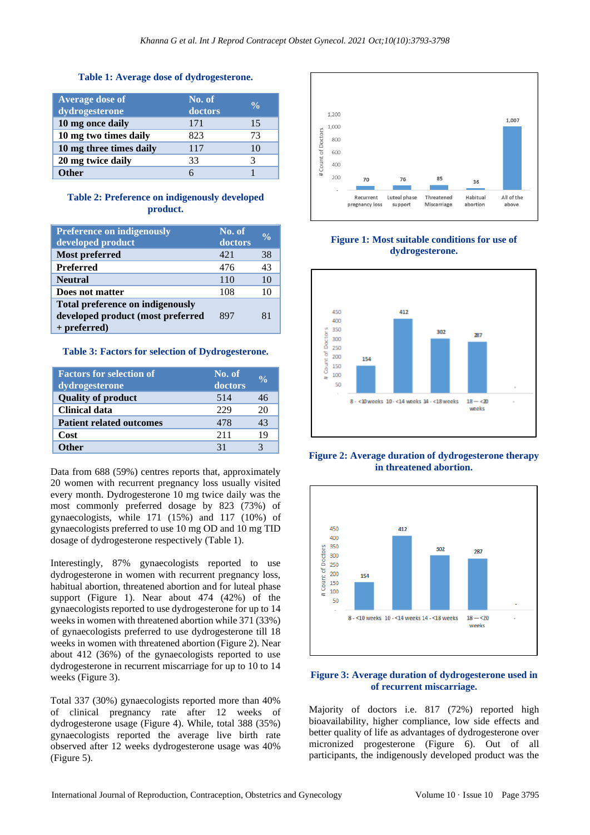#### **Table 1: Average dose of dydrogesterone.**

| <b>Average dose of</b><br>dydrogesterone | No. of<br>doctors | $\frac{0}{\alpha}$ |
|------------------------------------------|-------------------|--------------------|
| 10 mg once daily                         | 171               | 15                 |
| 10 mg two times daily                    | 823               | 73                 |
| 10 mg three times daily                  | 117               | 10                 |
| 20 mg twice daily                        | 33                |                    |
| ther                                     |                   |                    |

#### **Table 2: Preference on indigenously developed product.**

| <b>Preference on indigenously</b><br>developed product | No. of<br>doctors | $\frac{0}{\alpha}$ |
|--------------------------------------------------------|-------------------|--------------------|
| <b>Most preferred</b>                                  | 42.1              | 38                 |
| <b>Preferred</b>                                       | 476               | 43                 |
| <b>Neutral</b>                                         | 110               | 10                 |
| Does not matter                                        | 108               | 10                 |
| <b>Total preference on indigenously</b>                |                   |                    |
| developed product (most preferred                      | 897               | 81                 |
| $+$ preferred)                                         |                   |                    |

**Table 3: Factors for selection of Dydrogesterone.**

| <b>Factors for selection of</b><br>dydrogesterone | No. of<br>doctors | $\frac{0}{\alpha}$ |
|---------------------------------------------------|-------------------|--------------------|
| <b>Quality of product</b>                         | 514               | 46                 |
| <b>Clinical data</b>                              | 229               | 20                 |
| <b>Patient related outcomes</b>                   | 478               | 43                 |
| Cost                                              | 211               | 19                 |
| <i>i</i> ther                                     | 31                |                    |

Data from 688 (59%) centres reports that, approximately 20 women with recurrent pregnancy loss usually visited every month. Dydrogesterone 10 mg twice daily was the most commonly preferred dosage by 823 (73%) of gynaecologists, while 171 (15%) and 117 (10%) of gynaecologists preferred to use 10 mg OD and 10 mg TID dosage of dydrogesterone respectively (Table 1).

Interestingly, 87% gynaecologists reported to use dydrogesterone in women with recurrent pregnancy loss, habitual abortion, threatened abortion and for luteal phase support (Figure 1). Near about 474 (42%) of the gynaecologists reported to use dydrogesterone for up to 14 weeks in women with threatened abortion while 371 (33%) of gynaecologists preferred to use dydrogesterone till 18 weeks in women with threatened abortion (Figure 2). Near about 412 (36%) of the gynaecologists reported to use dydrogesterone in recurrent miscarriage for up to 10 to 14 weeks (Figure 3).

Total 337 (30%) gynaecologists reported more than 40% of clinical pregnancy rate after 12 weeks of dydrogesterone usage (Figure 4). While, total 388 (35%) gynaecologists reported the average live birth rate observed after 12 weeks dydrogesterone usage was 40% (Figure 5).



**Figure 1: Most suitable conditions for use of dydrogesterone.**



**Figure 2: Average duration of dydrogesterone therapy in threatened abortion.**



# **Figure 3: Average duration of dydrogesterone used in of recurrent miscarriage.**

Majority of doctors i.e. 817 (72%) reported high bioavailability, higher compliance, low side effects and better quality of life as advantages of dydrogesterone over micronized progesterone (Figure 6). Out of all participants, the indigenously developed product was the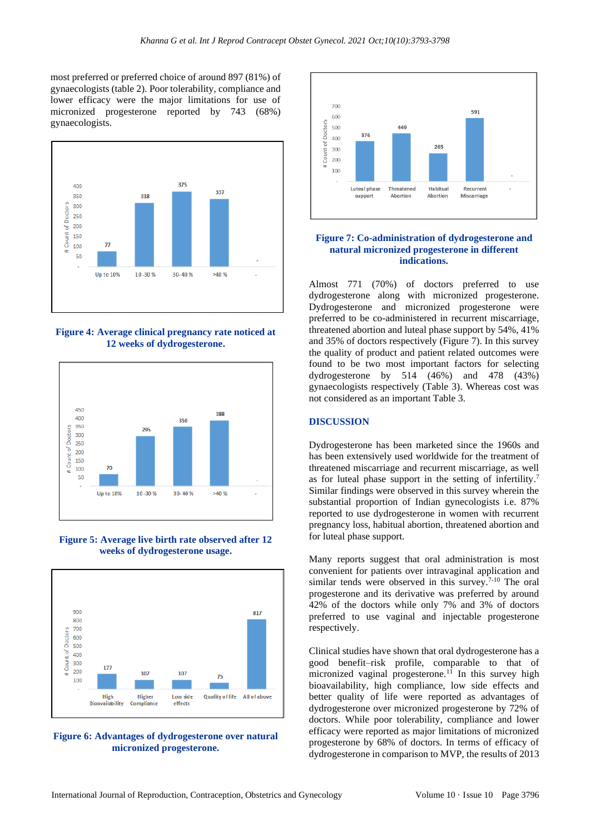most preferred or preferred choice of around 897 (81%) of gynaecologists (table 2). Poor tolerability, compliance and lower efficacy were the major limitations for use of micronized progesterone reported by 743 (68%) gynaecologists.



**Figure 4: Average clinical pregnancy rate noticed at 12 weeks of dydrogesterone.**



**Figure 5: Average live birth rate observed after 12 weeks of dydrogesterone usage.**



**Figure 6: Advantages of dydrogesterone over natural micronized progesterone.**



#### **Figure 7: Co-administration of dydrogesterone and natural micronized progesterone in different indications.**

Almost 771 (70%) of doctors preferred to use dydrogesterone along with micronized progesterone. Dydrogesterone and micronized progesterone were preferred to be co-administered in recurrent miscarriage, threatened abortion and luteal phase support by 54%, 41% and 35% of doctors respectively (Figure 7). In this survey the quality of product and patient related outcomes were found to be two most important factors for selecting dydrogesterone by 514 (46%) and 478 (43%) gynaecologists respectively (Table 3). Whereas cost was not considered as an important Table 3.

# **DISCUSSION**

Dydrogesterone has been marketed since the 1960s and has been extensively used worldwide for the treatment of threatened miscarriage and recurrent miscarriage, as well as for luteal phase support in the setting of infertility.<sup>7</sup> Similar findings were observed in this survey wherein the substantial proportion of Indian gynecologists i.e. 87% reported to use dydrogesterone in women with recurrent pregnancy loss, habitual abortion, threatened abortion and for luteal phase support.

Many reports suggest that oral administration is most convenient for patients over intravaginal application and similar tends were observed in this survey.<sup>7-10</sup> The oral progesterone and its derivative was preferred by around 42% of the doctors while only 7% and 3% of doctors preferred to use vaginal and injectable progesterone respectively.

Clinical studies have shown that oral dydrogesterone has a good benefit–risk profile, comparable to that of micronized vaginal progesterone.<sup>11</sup> In this survey high bioavailability, high compliance, low side effects and better quality of life were reported as advantages of dydrogesterone over micronized progesterone by 72% of doctors. While poor tolerability, compliance and lower efficacy were reported as major limitations of micronized progesterone by 68% of doctors. In terms of efficacy of dydrogesterone in comparison to MVP, the results of 2013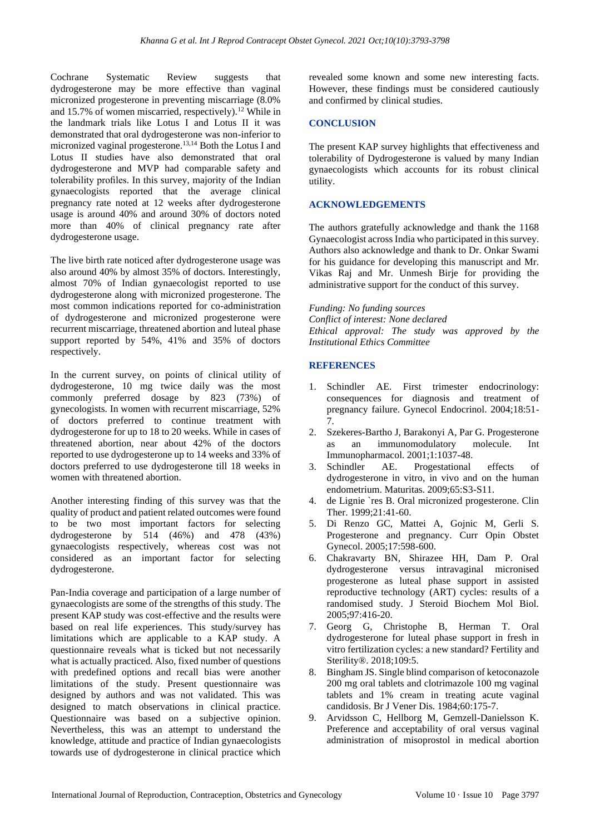Cochrane Systematic Review suggests that dydrogesterone may be more effective than vaginal micronized progesterone in preventing miscarriage (8.0% and 15.7% of women miscarried, respectively).<sup>12</sup> While in the landmark trials like Lotus I and Lotus II it was demonstrated that oral dydrogesterone was non-inferior to micronized vaginal progesterone.13,14 Both the Lotus I and Lotus II studies have also demonstrated that oral dydrogesterone and MVP had comparable safety and tolerability profiles. In this survey, majority of the Indian gynaecologists reported that the average clinical pregnancy rate noted at 12 weeks after dydrogesterone usage is around 40% and around 30% of doctors noted more than 40% of clinical pregnancy rate after dydrogesterone usage.

The live birth rate noticed after dydrogesterone usage was also around 40% by almost 35% of doctors. Interestingly, almost 70% of Indian gynaecologist reported to use dydrogesterone along with micronized progesterone. The most common indications reported for co-administration of dydrogesterone and micronized progesterone were recurrent miscarriage, threatened abortion and luteal phase support reported by 54%, 41% and 35% of doctors respectively.

In the current survey, on points of clinical utility of dydrogesterone, 10 mg twice daily was the most commonly preferred dosage by 823 (73%) of gynecologists. In women with recurrent miscarriage, 52% of doctors preferred to continue treatment with dydrogesterone for up to 18 to 20 weeks. While in cases of threatened abortion, near about 42% of the doctors reported to use dydrogesterone up to 14 weeks and 33% of doctors preferred to use dydrogesterone till 18 weeks in women with threatened abortion.

Another interesting finding of this survey was that the quality of product and patient related outcomes were found to be two most important factors for selecting dydrogesterone by 514 (46%) and 478 (43%) gynaecologists respectively, whereas cost was not considered as an important factor for selecting dydrogesterone.

Pan-India coverage and participation of a large number of gynaecologists are some of the strengths of this study. The present KAP study was cost-effective and the results were based on real life experiences. This study/survey has limitations which are applicable to a KAP study. A questionnaire reveals what is ticked but not necessarily what is actually practiced. Also, fixed number of questions with predefined options and recall bias were another limitations of the study. Present questionnaire was designed by authors and was not validated. This was designed to match observations in clinical practice. Questionnaire was based on a subjective opinion. Nevertheless, this was an attempt to understand the knowledge, attitude and practice of Indian gynaecologists towards use of dydrogesterone in clinical practice which revealed some known and some new interesting facts. However, these findings must be considered cautiously and confirmed by clinical studies.

# **CONCLUSION**

The present KAP survey highlights that effectiveness and tolerability of Dydrogesterone is valued by many Indian gynaecologists which accounts for its robust clinical utility.

# **ACKNOWLEDGEMENTS**

The authors gratefully acknowledge and thank the 1168 Gynaecologist across India who participated in this survey. Authors also acknowledge and thank to Dr. Onkar Swami for his guidance for developing this manuscript and Mr. Vikas Raj and Mr. Unmesh Birje for providing the administrative support for the conduct of this survey.

*Funding: No funding sources Conflict of interest: None declared Ethical approval: The study was approved by the Institutional Ethics Committee*

#### **REFERENCES**

- 1. Schindler AE. First trimester endocrinology: consequences for diagnosis and treatment of pregnancy failure. Gynecol Endocrinol. 2004;18:51- 7.
- 2. Szekeres-Bartho J, Barakonyi A, Par G. Progesterone as an immunomodulatory molecule. Int Immunopharmacol. 2001;1:1037-48.
- 3. Schindler AE. Progestational effects of dydrogesterone in vitro, in vivo and on the human endometrium. Maturitas. 2009;65:S3-S11.
- 4. de Lignie `res B. Oral micronized progesterone. Clin Ther. 1999;21:41-60.
- 5. Di Renzo GC, Mattei A, Gojnic M, Gerli S. Progesterone and pregnancy. Curr Opin Obstet Gynecol. 2005;17:598-600.
- 6. Chakravarty BN, Shirazee HH, Dam P. Oral dydrogesterone versus intravaginal micronised progesterone as luteal phase support in assisted reproductive technology (ART) cycles: results of a randomised study. J Steroid Biochem Mol Biol. 2005;97:416-20.
- 7. Georg G, Christophe B, Herman T. Oral dydrogesterone for luteal phase support in fresh in vitro fertilization cycles: a new standard? Fertility and Sterility®. 2018;109:5.
- 8. Bingham JS. Single blind comparison of ketoconazole 200 mg oral tablets and clotrimazole 100 mg vaginal tablets and 1% cream in treating acute vaginal candidosis. Br J Vener Dis. 1984;60:175-7.
- 9. Arvidsson C, Hellborg M, Gemzell-Danielsson K. Preference and acceptability of oral versus vaginal administration of misoprostol in medical abortion